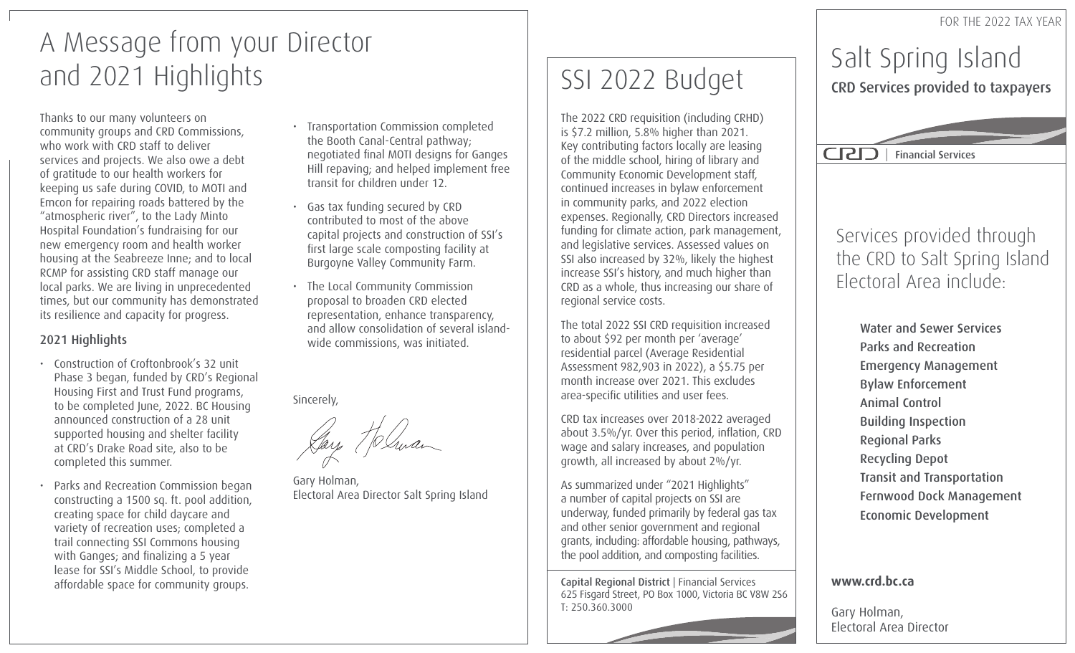FOR THE 2022 TAX YEAR

# A Message from your Director and 2021 Highlights

Thanks to our many volunteers on community groups and CRD Commissions, who work with CRD staff to deliver services and projects. We also owe a debt of gratitude to our health workers for keeping us safe during COVID, to MOTI and Emcon for repairing roads battered by the "atmospheric river", to the Lady Minto Hospital Foundation's fundraising for our new emergency room and health worker housing at the Seabreeze Inne; and to local RCMP for assisting CRD staff manage our local parks. We are living in unprecedented times, but our community has demonstrated its resilience and capacity for progress.

#### 2021 Highlights

- Construction of Croftonbrook's 32 unit Phase 3 began, funded by CRD's Regional Housing First and Trust Fund programs, to be completed June, 2022. BC Housing announced construction of a 28 unit supported housing and shelter facility at CRD's Drake Road site, also to be completed this summer.
- Parks and Recreation Commission began constructing a 1500 sq. ft. pool addition, creating space for child daycare and variety of recreation uses; completed a trail connecting SSI Commons housing with Ganges; and finalizing a 5 year lease for SSI's Middle School, to provide affordable space for community groups.
- Transportation Commission completed the Booth Canal-Central pathway; negotiated final MOTI designs for Ganges Hill repaving; and helped implement free transit for children under 12.
- Gas tax funding secured by CRD contributed to most of the above capital projects and construction of SSI's first large scale composting facility at Burgoyne Valley Community Farm.
- The Local Community Commission proposal to broaden CRD elected representation, enhance transparency, and allow consolidation of several islandwide commissions, was initiated.

Sincerely,

Gary Holman, Electoral Area Director Salt Spring Island

# SSI 2022 Budget

The 2022 CRD requisition (including CRHD) is \$7.2 million, 5.8% higher than 2021. Key contributing factors locally are leasing of the middle school, hiring of library and Community Economic Development staff, continued increases in bylaw enforcement in community parks, and 2022 election expenses. Regionally, CRD Directors increased funding for climate action, park management, and legislative services. Assessed values on SSI also increased by 32%, likely the highest increase SSI's history, and much higher than CRD as a whole, thus increasing our share of regional service costs.

The total 2022 SSI CRD requisition increased to about \$92 per month per 'average' residential parcel (Average Residential Assessment 982,903 in 2022), a \$5.75 per month increase over 2021. This excludes area-specific utilities and user fees.

CRD tax increases over 2018-2022 averaged about 3.5%/yr. Over this period, inflation, CRD wage and salary increases, and population growth, all increased by about 2%/yr.

As summarized under "2021 Highlights" a number of capital projects on SSI are underway, funded primarily by federal gas tax and other senior government and regional grants, including: affordable housing, pathways, the pool addition, and composting facilities.

Capital Regional District | Financial Services 625 Fisgard Street, PO Box 1000, Victoria BC V8W 2S6 T: 250.360.3000

### Salt Spring Island CRD Services provided to taxpayers

| Financial Services

### Services provided through the CRD to Salt Spring Island Electoral Area include:

Water and Sewer Services Parks and Recreation Emergency Management Bylaw Enforcement Animal Control Building Inspection Regional Parks Recycling Depot Transit and Transportation Fernwood Dock Management Economic Development

#### **www.crd.bc.ca**

Gary Holman, Electoral Area Director